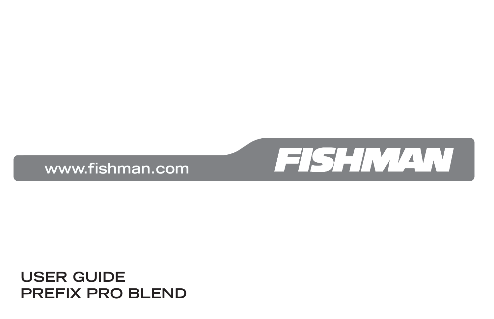#### **USER GUIDE PREFIX PRO BLEND**



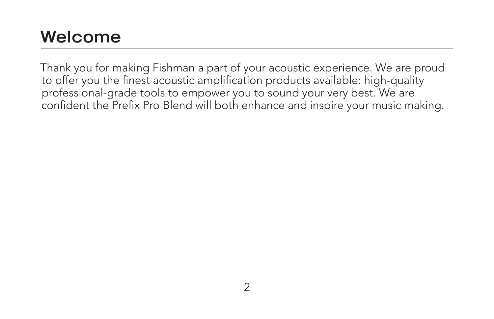#### **Welcome**

Thank you for making Fishman a part of your acoustic experience. We are proud to offer you the finest acoustic amplification products available: high-quality professional-grade tools to empower you to sound your very best. We are confident the Prefix Pro Blend will both enhance and inspire your music making.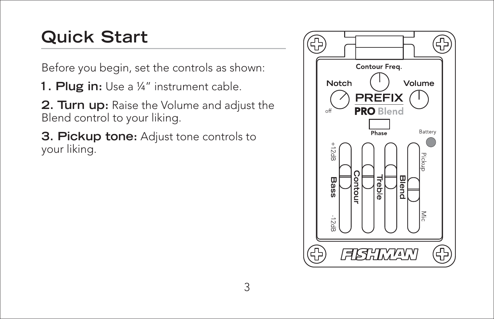## **Quick Start**

Before you begin, set the controls as shown:

- **1. Plug in:** Use a ¼" instrument cable.
- **2. Turn up:** Raise the Volume and adjust the Blend control to your liking.
- **3. Pickup tone:** Adjust tone controls to your liking.

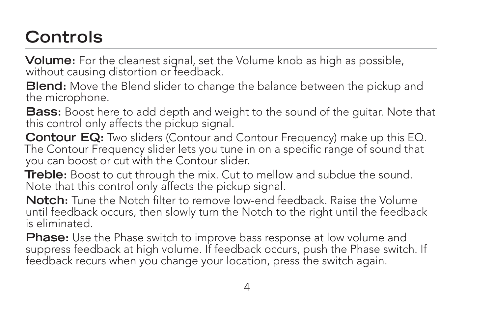## **Controls**

**Volume:** For the cleanest signal, set the Volume knob as high as possible, without causing distortion or feedback.

**Blend:** Move the Blend slider to change the balance between the pickup and the microphone.

**Bass:** Boost here to add depth and weight to the sound of the guitar. Note that this control only affects the pickup signal.

**Contour EQ:** Two sliders (Contour and Contour Frequency) make up this EQ.<br>The Contour Frequency slider lets you tune in on a specific range of sound that you can boost or cut with the Contour slider.

**Treble:** Boost to cut through the mix. Cut to mellow and subdue the sound. Note that this control only affects the pickup signal.

**Notch:** Tune the Notch filter to remove low-end feedback. Raise the Volume until feedback occurs, then slowly turn the Notch to the right until the feedback is eliminated.

**Phase:** Use the Phase switch to improve bass response at low volume and suppress feedback at high volume. If feedback occurs, push the Phase switch. If feedback recurs when you change your location, press the switch again.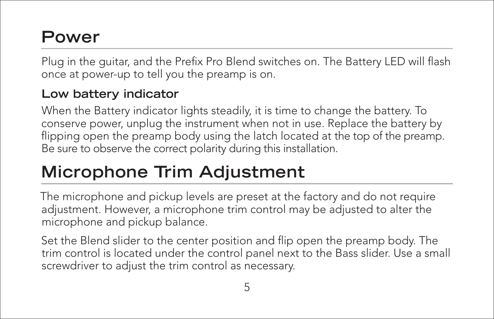### **Power**

Plug in the guitar, and the Prefix Pro Blend switches on. The Battery LED will flash once at power-up to tell you the preamp is on.

#### **Low battery indicator**

When the Battery indicator lights steadily, it is time to change the battery. To conserve power, unplug the instrument when not in use. Replace the battery by flipping open the preamp body using the latch located at the top of the preamp. Be sure to observe the correct polarity during this installation.

# **Microphone Trim Adjustment**

The microphone and pickup levels are preset at the factory and do not require adjustment. However, a microphone trim control may be adjusted to alter the microphone and pickup balance.

Set the Blend slider to the center position and flip open the preamp body. The trim control is located under the control panel next to the Bass slider. Use a small screwdriver to adjust the trim control as necessary.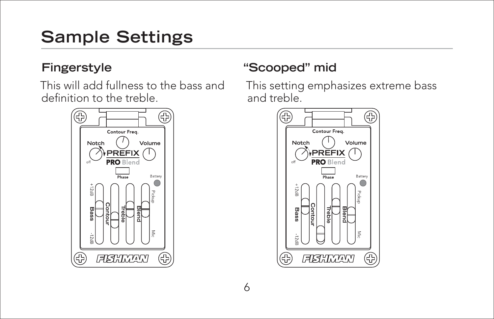# **Sample Settings**

#### **Fingerstyle**

This will add fullness to the bass and definition to the treble.



#### **"Scooped" mid**

This setting emphasizes extreme bass and treble.

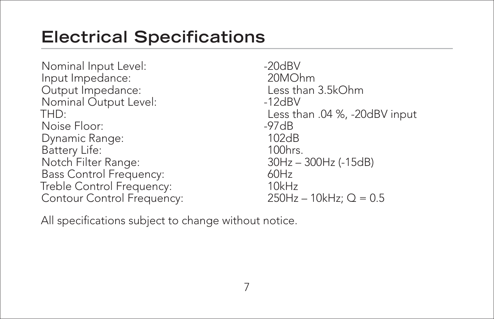### **Electrical Specifications**

Nominal Input Level:  $\sim$  -20dBV Input Impedance: 20MOhm Output Impedance: Less than 3.5kOhm Nominal Output Level: 12dBV THD: Less than .04 %, -20dBV input Noise Floor: -97dB Dynamic Range: 102dB Battery Life: 100hrs. Notch Filter Range: 30Hz – 300Hz (-15dB) Bass Control Frequency: 60Hz Treble Control Frequency: 10kHz Contour Control Frequency: 250Hz – 10kHz; Q = 0.5

All specifications subject to change without notice.